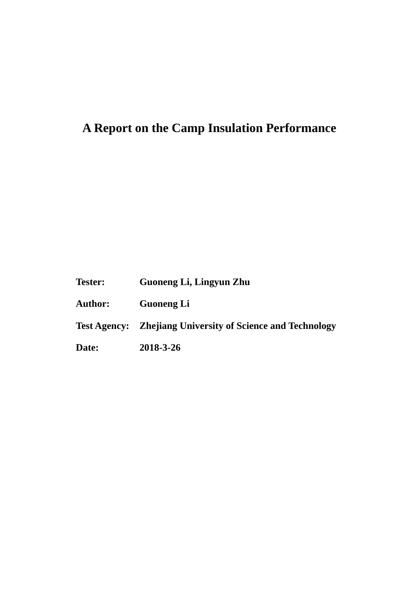# **A Report on the Camp Insulation Performance**

**Tester: Guoneng Li, Lingyun Zhu**

**Author: Guoneng Li**

**Test Agency: Zhejiang University of Science and Technology**

**Date: 2018-3-26**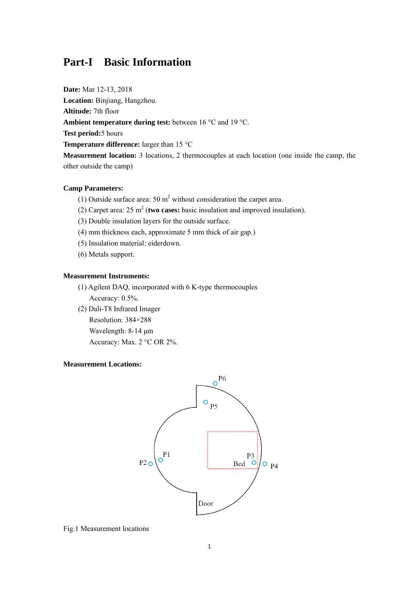### **Part-I Basic Information**

**Date:** Mar 12-13, 2018

**Location:** Binjiang, Hangzhou.

**Altitude:** 7th floor

**Ambient temperature during test:** between 16 °C and 19 °C.

**Test period:**5 hours

**Temperature difference:** larger than 15 °C

**Measurement location:** 3 locations, 2 thermocouples at each location (one inside the camp, the other outside the camp)

#### **Camp Parameters:**

- (1) Outside surface area:  $50 \text{ m}^2$  without consideration the carpet area.
- (2) Carpet area:  $25 \text{ m}^2$  (two cases: basic insulation and improved insulation).
- (3) Double insulation layers for the outside surface.
- (4) mm thickness each, approximate 5 mm thick of air gap.)
- (5) Insulation material: eiderdown.
- (6) Metals support.

#### **Measurement Instruments:**

- (1) Agilent DAQ, incorporated with 6 K-type thermocouples Accuracy: 0.5%.
- (2) Dali-T8 Infrared Imager
	- Resolution: 384×288
	- Wavelength: 8-14 μm
	- Accuracy: Max. 2 °C OR 2%.

#### **Measurement Locations:**



Fig.1 Measurement locations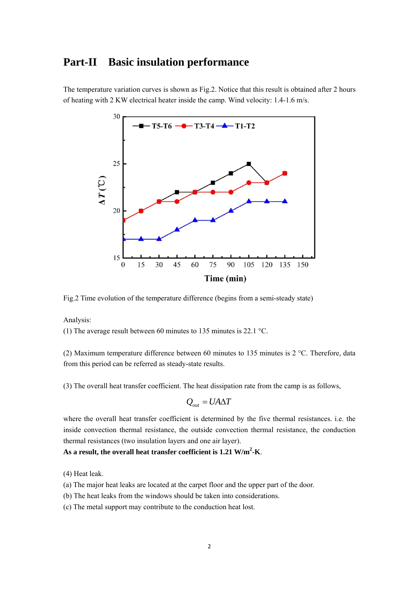### **Part-II Basic insulation performance**

The temperature variation curves is shown as Fig.2. Notice that this result is obtained after 2 hours of heating with 2 KW electrical heater inside the camp. Wind velocity: 1.4-1.6 m/s.



Fig.2 Time evolution of the temperature difference (begins from a semi-steady state)

Analysis:

(1) The average result between 60 minutes to 135 minutes is 22.1 °C.

(2) Maximum temperature difference between 60 minutes to 135 minutes is 2 °C. Therefore, data from this period can be referred as steady-state results.

(3) The overall heat transfer coefficient. The heat dissipation rate from the camp is as follows,

$$
Q_{\rm out} = U A \Delta T
$$

where the overall heat transfer coefficient is determined by the five thermal resistances. i.e. the inside convection thermal resistance, the outside convection thermal resistance, the conduction thermal resistances (two insulation layers and one air layer).

#### **As a result, the overall heat transfer coefficient is 1.21 W/m2 -K**.

(4) Heat leak.

(a) The major heat leaks are located at the carpet floor and the upper part of the door.

(b) The heat leaks from the windows should be taken into considerations.

(c) The metal support may contribute to the conduction heat lost.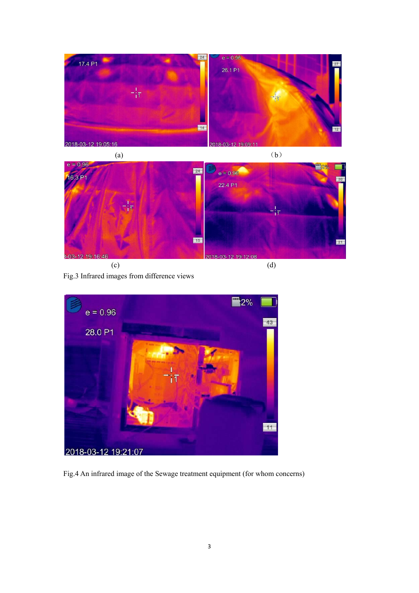



Fig.3 Infrared images from difference views



Fig.4 An infrared image of the Sewage treatment equipment (for whom concerns)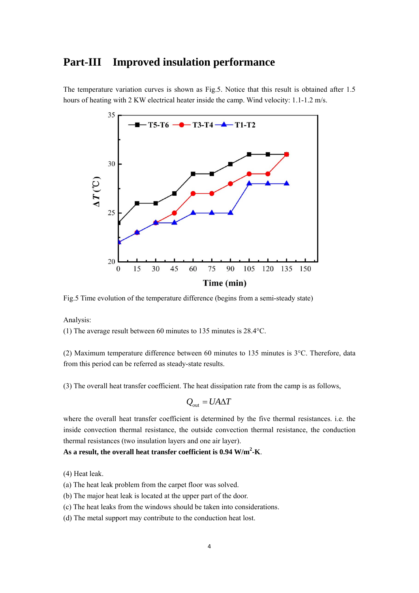### **Part-III Improved insulation performance**

The temperature variation curves is shown as Fig.5. Notice that this result is obtained after 1.5 hours of heating with 2 KW electrical heater inside the camp. Wind velocity: 1.1-1.2 m/s.



Fig.5 Time evolution of the temperature difference (begins from a semi-steady state)

Analysis:

(1) The average result between 60 minutes to 135 minutes is 28.4°C.

(2) Maximum temperature difference between 60 minutes to 135 minutes is 3°C. Therefore, data from this period can be referred as steady-state results.

(3) The overall heat transfer coefficient. The heat dissipation rate from the camp is as follows,

$$
Q_{\rm out} = U A \Delta T
$$

where the overall heat transfer coefficient is determined by the five thermal resistances. i.e. the inside convection thermal resistance, the outside convection thermal resistance, the conduction thermal resistances (two insulation layers and one air layer).

**As a result, the overall heat transfer coefficient is 0.94 W/m2 -K**.

(4) Heat leak.

(a) The heat leak problem from the carpet floor was solved.

- (b) The major heat leak is located at the upper part of the door.
- (c) The heat leaks from the windows should be taken into considerations.

(d) The metal support may contribute to the conduction heat lost.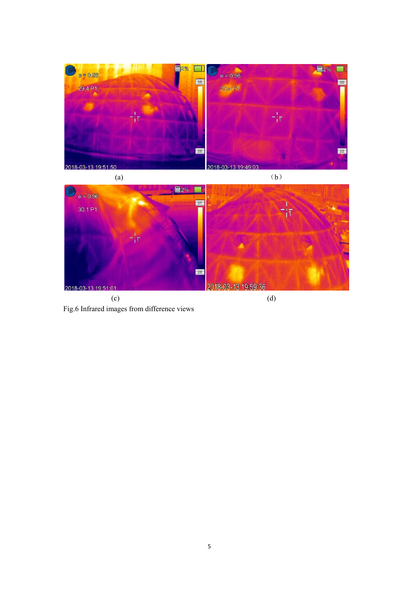

Fig.6 Infrared images from difference views